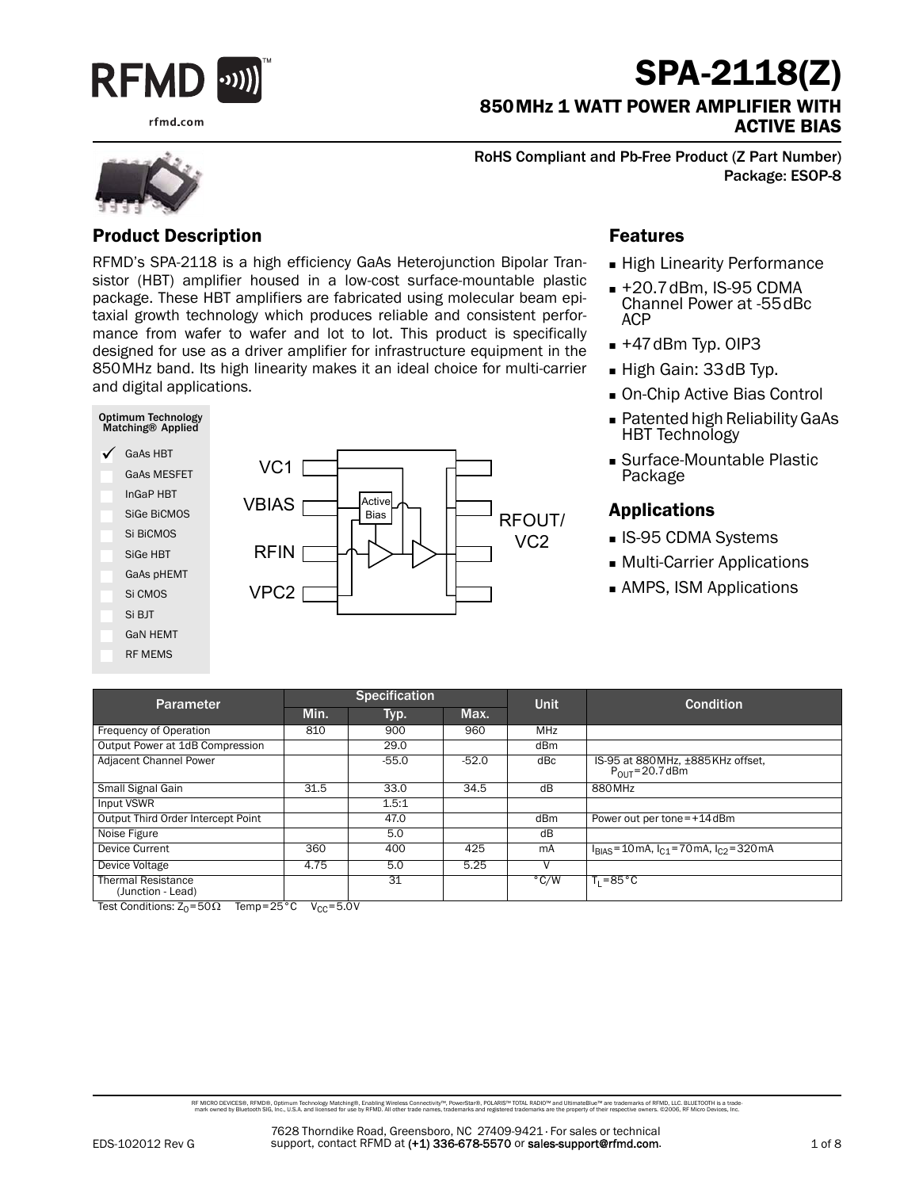

rfmd.com

# SPA-2118(Z)

850MHz 1 WATT POWER AMPLIFIER WITH ACTIVE BIAS

RoHS Compliant and Pb-Free Product (Z Part Number) Package: ESOP-8

#### Product Description

RFMD's SPA-2118 is a high efficiency GaAs Heterojunction Bipolar Transistor (HBT) amplifier housed in a low-cost surface-mountable plastic package. These HBT amplifiers are fabricated using molecular beam epitaxial growth technology which produces reliable and consistent performance from wafer to wafer and lot to lot. This product is specifically designed for use as a driver amplifier for infrastructure equipment in the 850MHz band. Its high linearity makes it an ideal choice for multi-carrier and digital applications.



#### Features

- **High Linearity Performance**
- +20.7dBm, IS-95 CDMA Channel Power at -55dBc ACP
- $+47$ dBm Typ. OIP3
- High Gain: 33dB Typ.
- On-Chip Active Bias Control
- Patented high Reliability GaAs HBT Technology
- Surface-Mountable Plastic Package

#### Applications

- **IS-95 CDMA Systems**
- Multi-Carrier Applications
- AMPS, ISM Applications

|                                                | <b>Specification</b> |         |         |               |                                                           |  |
|------------------------------------------------|----------------------|---------|---------|---------------|-----------------------------------------------------------|--|
| Parameter                                      | Min.<br>Typ.         |         | Max.    | <b>Unit</b>   | <b>Condition</b>                                          |  |
| Frequency of Operation                         | 810                  | 900     | 960     | <b>MHz</b>    |                                                           |  |
| Output Power at 1dB Compression                |                      | 29.0    |         | dBm           |                                                           |  |
| Adjacent Channel Power                         |                      | $-55.0$ | $-52.0$ | dBc           | IS-95 at 880 MHz, ±885 KHz offset,<br>$P_{OIII}$ =20.7dBm |  |
| Small Signal Gain                              | 31.5                 | 33.0    | 34.5    | dB            | 880MHz                                                    |  |
| Input VSWR                                     |                      | 1.5:1   |         |               |                                                           |  |
| Output Third Order Intercept Point             |                      | 47.0    |         | dBm           | Power out per tone=+14dBm                                 |  |
| Noise Figure                                   |                      | 5.0     |         | dB            |                                                           |  |
| Device Current                                 | 360                  | 400     | 425     | mA            | $I_{BIAS}$ = 10 mA, $I_{C1}$ = 70 mA, $I_{C2}$ = 320 mA   |  |
| Device Voltage                                 | 4.75                 | 5.0     | 5.25    | v             |                                                           |  |
| <b>Thermal Resistance</b><br>(Junction - Lead) |                      | 31      |         | $\degree$ C/W | $T_1 = 85^{\circ}C$                                       |  |

Test Conditions:  $Z_0$ =50 $\Omega$  Temp=25°C V<sub>CC</sub>=5.0V

RF MCRO DEVCES®, RFMD®, Optimum Technology Matching®, Erabling Wireless Connectivity™, PowerStar®, POLARIS™ TOTAL RADIO™ and UltimateBlue™ are trademarks of RFMD, LLC. BLUETOOTH is a trade<br>… mark owned by Bluetooth SIG, I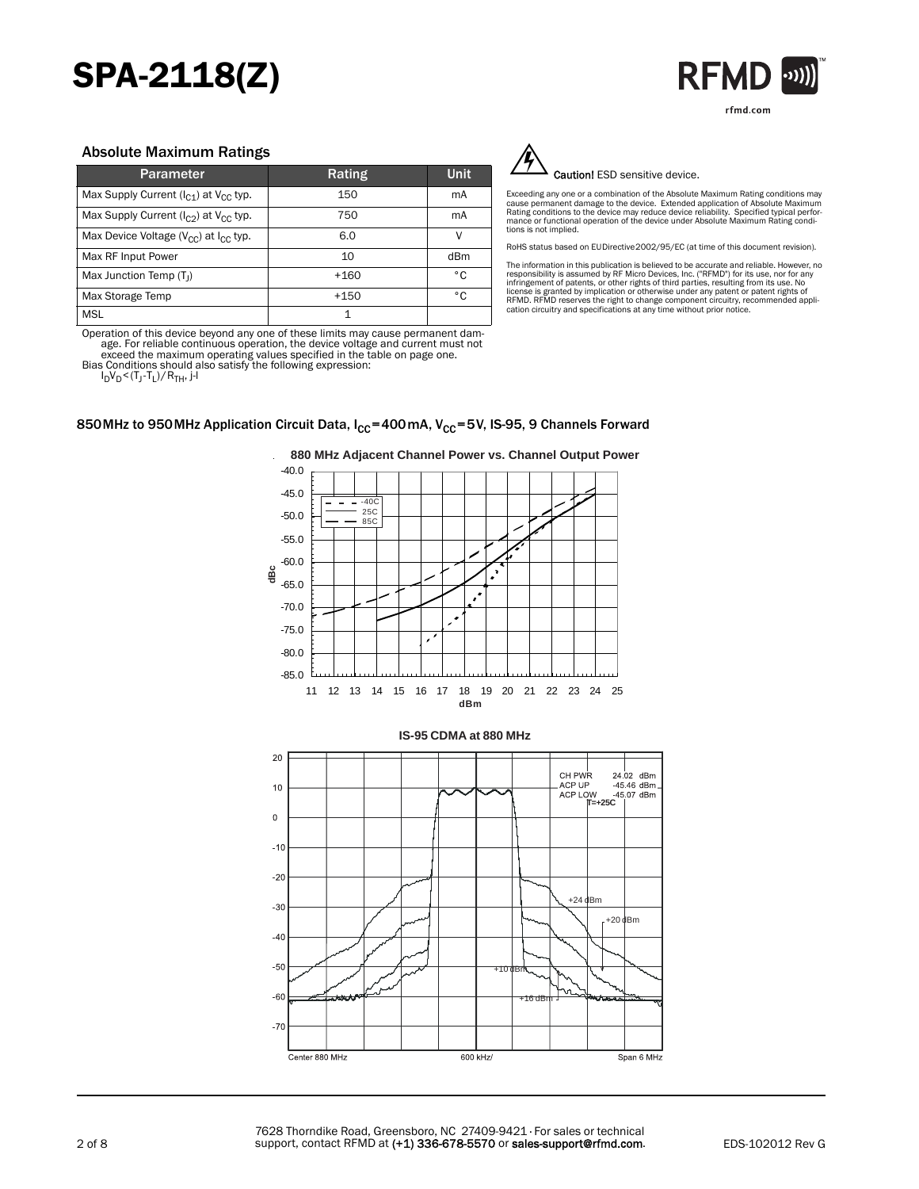# SPA-2118(Z)



#### Absolute Maximum Ratings

| Parameter                                        | Rating | <b>Unit</b> |
|--------------------------------------------------|--------|-------------|
| Max Supply Current $(I_{C1})$ at $V_{CC}$ typ.   | 150    | mA          |
| Max Supply Current $(I_{C2})$ at $V_{CC}$ typ.   | 750    | mA          |
| Max Device Voltage ( $V_{CC}$ ) at $I_{CC}$ typ. | 6.0    | v           |
| Max RF Input Power                               | 10     | dBm         |
| Max Junction Temp $(T_1)$                        | $+160$ | ۰c          |
| Max Storage Temp                                 | $+150$ | ۰c          |
| <b>MSL</b>                                       | 1      |             |

Operation of this device beyond any one of these limits may cause permanent damage. For reliable continuous operation, the device voltage and current must not exceed the maximum operating values specified in the table on page one. Bias Conditions should also satisfy the following expression:

 $20$ 

 $10$ 

 $\boldsymbol{0}$  $-1($ 

 $-20$  $-30$  $-40$ 

 $-50$ -60

 $-70$ 

Center 880 MHz

l<sub>D</sub>V<sub>D</sub><(T<sub>J</sub>-T<sub>L</sub>)/R<sub>TH</sub>, j-l

850 MHz to 950 MHz Application Circuit Data,  $I_{CC}$ =400 mA, V<sub>CC</sub>=5V, IS-95, 9 Channels Forward



**880 MHz Adjacent Channel Power vs. Channel Output Power**



 $+24$ 

CH PWR

ACP UP

ACP LOW

+16 dBm

+10 dBm

+20 dBm

Span 6 MHz

V 45.07 dBm<br>**=+25C** |

 $24.02$  dBm

 $45.46$  dBm

Caution! ESD sensitive device.

Exceeding any one or a combination of the Absolute Maximum Rating conditions may<br>cause permanent damage to the device. Extended application of Absolute Maximum<br>Rating conditions to the device may reduce device reliability tions is not implied.

RoHS status based on EUDirective2002/95/EC (at time of this document revision).

The information in this publication is believed to be accurate and reliable. However, no<br>responsibility is assumed by RF Micro Devices, Inc. ("RFMD") for its use, nor for any<br>infringement of patents, or other rights of thi



600 kHz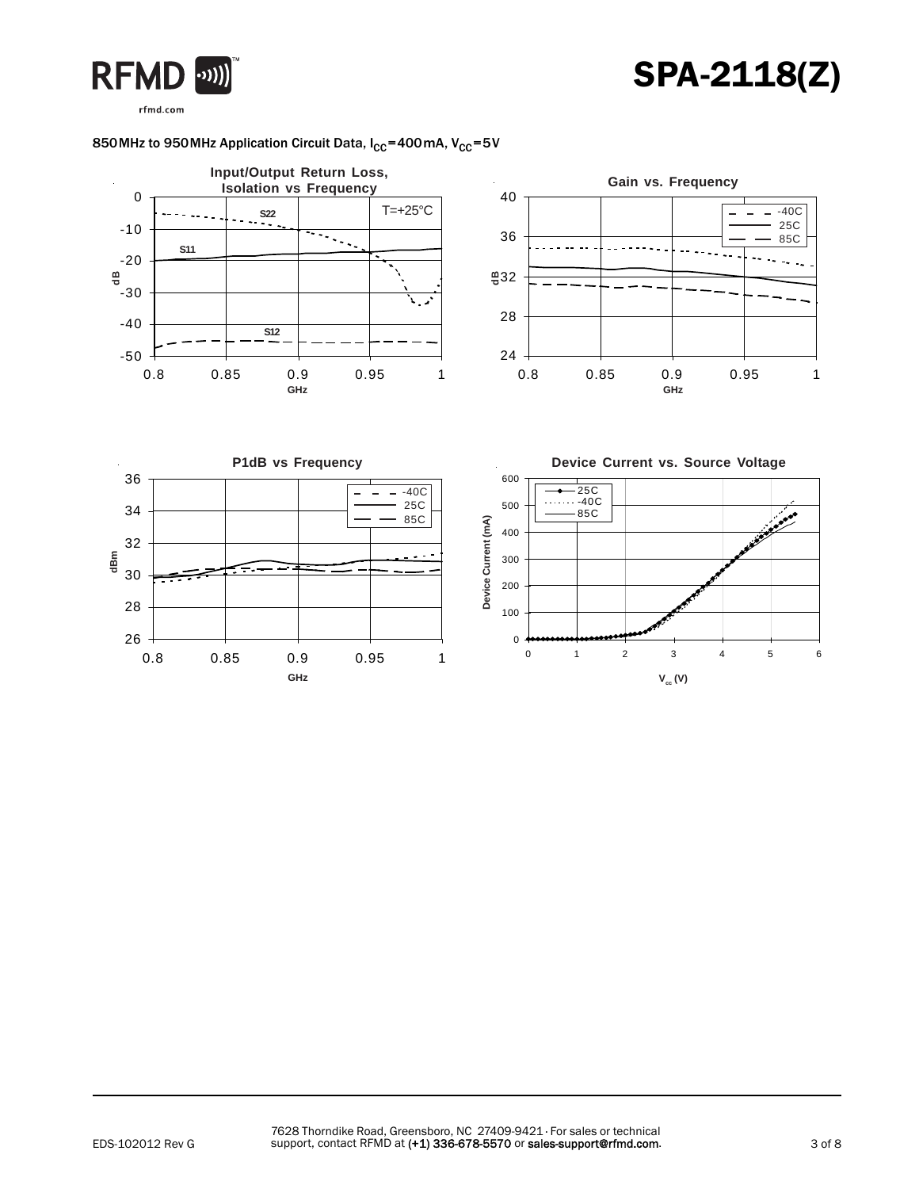# SPA-2118(Z)



### 850 MHz to 950 MHz Application Circuit Data,  $I_{CC}$ =400 mA,  $V_{CC}$ =5V

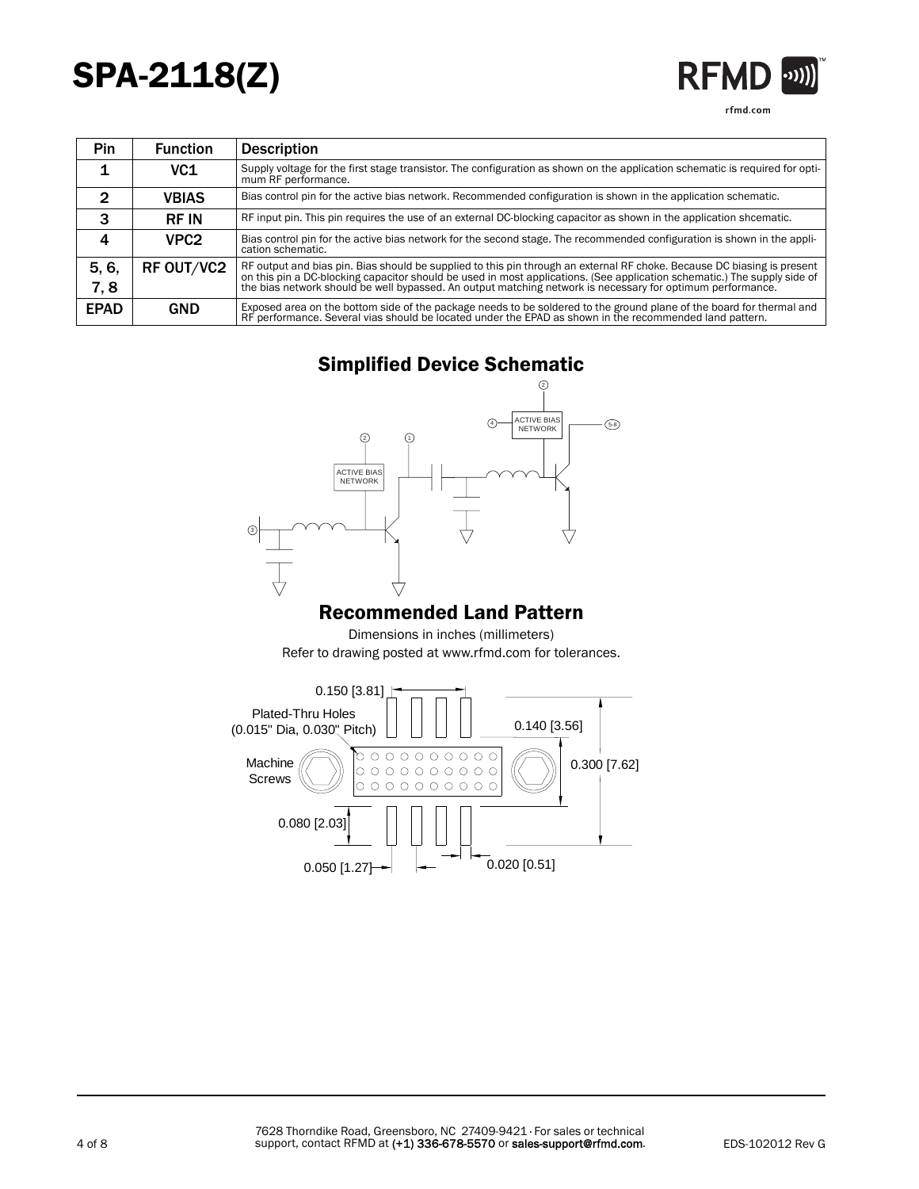# SPA-2118(Z)

| ·MI<br>$\boldsymbol{\kappa}$ | וור |
|------------------------------|-----|
| rfmd.com                     |     |

| <b>Pin</b>  | <b>Function</b>  | <b>Description</b>                                                                                                                                                                                                                                  |
|-------------|------------------|-----------------------------------------------------------------------------------------------------------------------------------------------------------------------------------------------------------------------------------------------------|
|             | VC1              | Supply voltage for the first stage transistor. The configuration as shown on the application schematic is required for opti-<br>mum RF performance.                                                                                                 |
| 2           | <b>VBIAS</b>     | Bias control pin for the active bias network. Recommended configuration is shown in the application schematic.                                                                                                                                      |
| 3           | <b>RF IN</b>     | RF input pin. This pin requires the use of an external DC-blocking capacitor as shown in the application shcematic.                                                                                                                                 |
|             | VPC <sub>2</sub> | Bias control pin for the active bias network for the second stage. The recommended configuration is shown in the appli-<br>cation schematic.                                                                                                        |
| 5, 6,       | RF OUT/VC2       | RF output and bias pin. Bias should be supplied to this pin through an external RF choke. Because DC biasing is present<br>on this pin a DC-blocking capacitor should be used in most applications. (See application schematic.) The supply side of |
| 7,8         |                  | the bias network should be well bypassed. An output matching network is necessary for optimum performance.                                                                                                                                          |
| <b>EPAD</b> | <b>GND</b>       | Exposed area on the bottom side of the package needs to be soldered to the ground plane of the board for thermal and<br>RF performance. Several vias should be located under the EPAD as shown in the recommended land pattern.                     |

## Simplified Device Schematic



### Recommended Land Pattern

Dimensions in inches (millimeters) Refer to drawing posted at www.rfmd.com for tolerances.

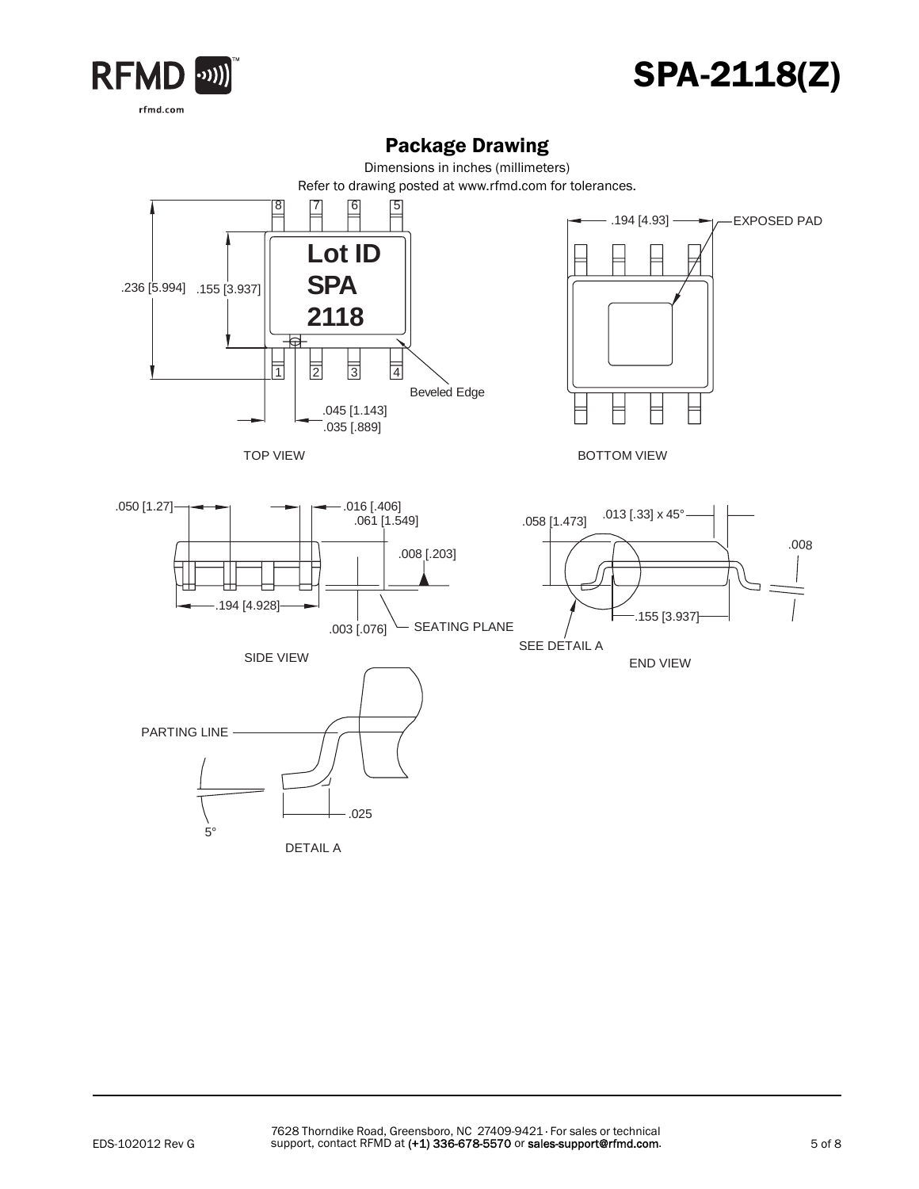



### Package Drawing

Dimensions in inches (millimeters)

Refer to drawing posted at www.rfmd.com for tolerances.

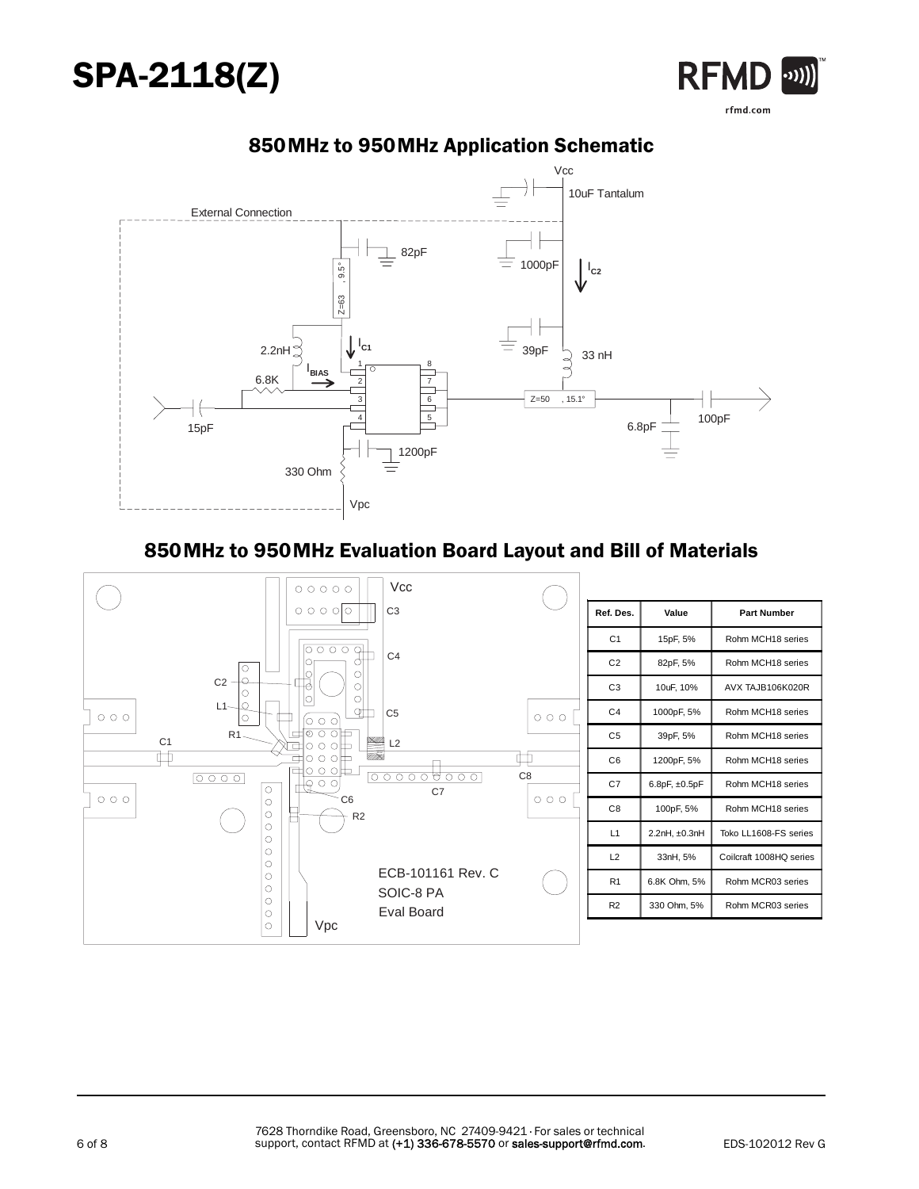





### 850MHz to 950MHz Application Schematic

### 850MHz to 950MHz Evaluation Board Layout and Bill of Materials

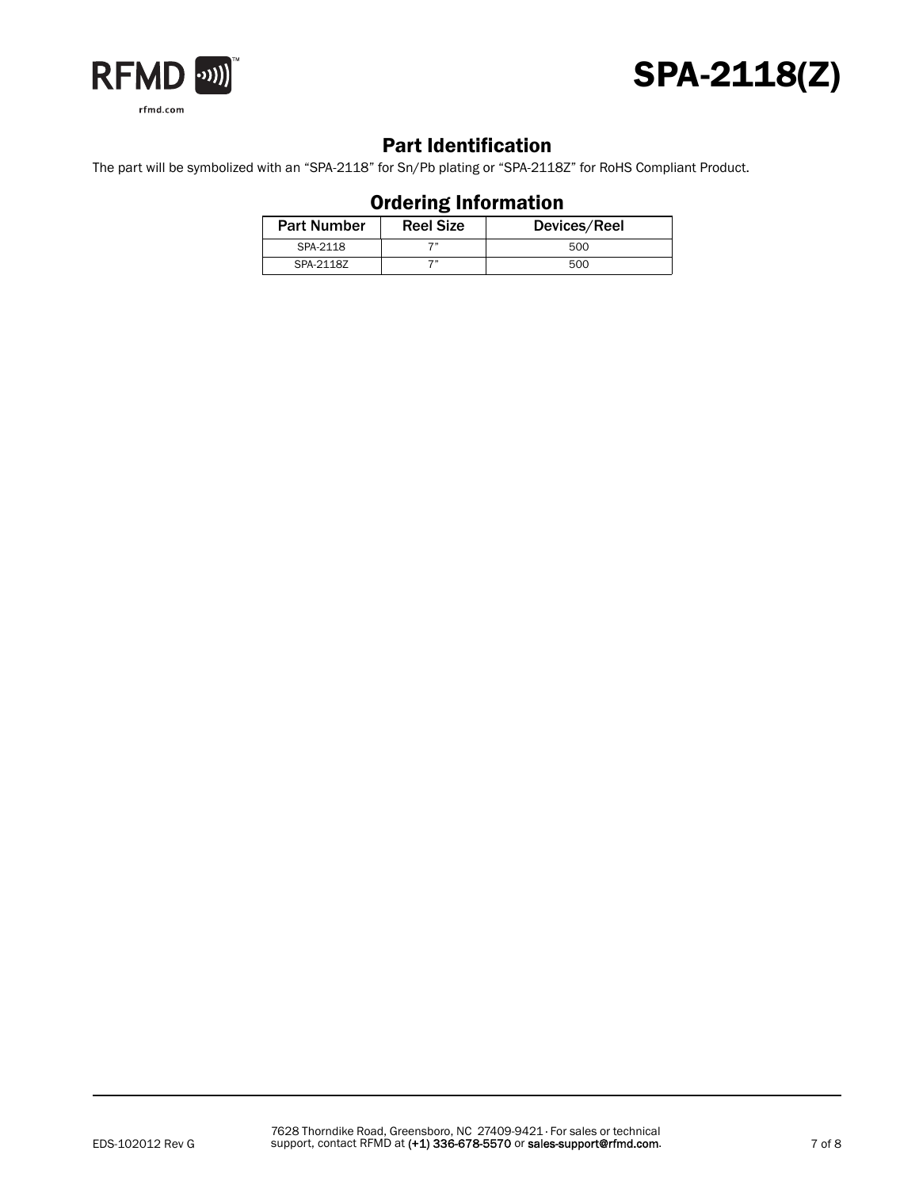



### Part Identification

The part will be symbolized with an "SPA-2118" for Sn/Pb plating or "SPA-2118Z" for RoHS Compliant Product.

| ----------------------- |                  |              |  |  |  |  |
|-------------------------|------------------|--------------|--|--|--|--|
| <b>Part Number</b>      | <b>Reel Size</b> | Devices/Reel |  |  |  |  |
| SPA-2118                |                  | 500          |  |  |  |  |
| SPA-2118Z               |                  | 500          |  |  |  |  |

### Ordering Information